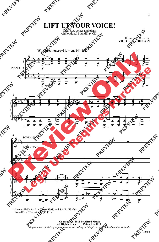## **LIFT UP YOUR VOICE!**

for S.S.A. voices and piano with optional SoundTrax CD\*

> *Words and Music by* **VICTOR C. JOHNSON**



\* Also available for S.A.T.B. (43398) and S.A.B. (43399). SoundTrax CD available (43401).

> **Copyright © 2015 by Alfred Music All Rights Reserved. Printed in USA.** *To purchase a full-length performance recording of this piece, go to alfred.com/downloads*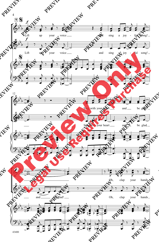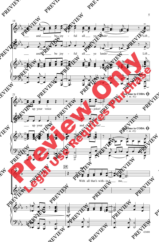

43400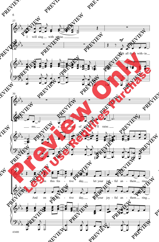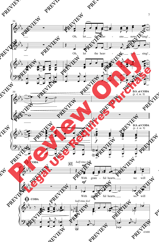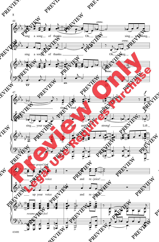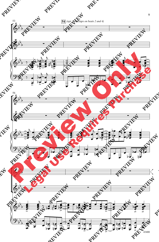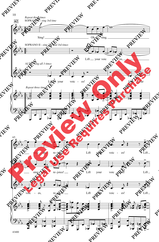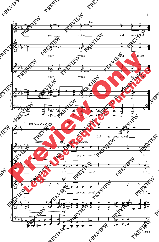